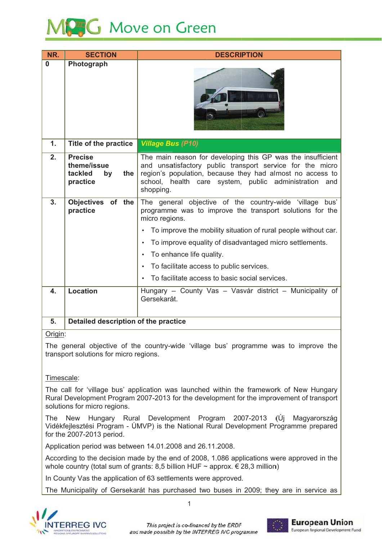# **SG** Move on Green

| NR.     | <b>SECTION</b>                                                    | <b>DESCRIPTION</b>                                                                                                                                                                                                                                                                                                                                                                           |
|---------|-------------------------------------------------------------------|----------------------------------------------------------------------------------------------------------------------------------------------------------------------------------------------------------------------------------------------------------------------------------------------------------------------------------------------------------------------------------------------|
| 0       | Photograph                                                        |                                                                                                                                                                                                                                                                                                                                                                                              |
| 1.      | <b>Title of the practice</b>                                      | <b>Village Bus (P10)</b>                                                                                                                                                                                                                                                                                                                                                                     |
| 2.      | <b>Precise</b><br>theme/issue<br>tackled<br>by<br>the<br>practice | The main reason for developing this GP was the insufficient<br>and unsatisfactory public transport service for the micro<br>region's population, because they had almost no access to<br>school, health care system, public administration and<br>shopping.                                                                                                                                  |
| 3.      | <b>Objectives</b><br>of the<br>practice                           | The general objective of the country-wide 'village bus'<br>programme was to improve the transport solutions for the<br>micro regions.<br>To improve the mobility situation of rural people without car.<br>To improve equality of disadvantaged micro settlements.<br>To enhance life quality.<br>To facilitate access to public services.<br>To facilitate access to basic social services. |
| 4.      | <b>Location</b>                                                   | Hungary - County Vas - Vasvár district - Municipality of<br>Gersekarát.                                                                                                                                                                                                                                                                                                                      |
| 5.      | Detailed description of the practice                              |                                                                                                                                                                                                                                                                                                                                                                                              |
| Origin: |                                                                   |                                                                                                                                                                                                                                                                                                                                                                                              |

The general objective of the country-wide 'village bus' programme was to improve the transport solutions for micro regions.

## Timescale:

The call for 'village bus' application was launched within the framework of New Hungary Rural Development Program 2007-2013 for the development for the improvement of transport solutions for micro regions.

The New Hungary Rural Development Program 2007-2013 (Új Magyarország Vidékfejlesztési Program - ÚMVP) is the National Rural Development Programme prepared for the 2007-2013 period.

Application period was between 14.01.2008 and 26.11.2008.

According to the decision made by the end of 2008, 1.086 applications were approved in the whole country (total sum of grants: 8,5 billion HUF  $\sim$  approx.  $\in$  28,3 million)

In County Vas the application of 63 settlements were approved.

The Municipality of Gersekarát has purchased two buses in 2009; they are in service as

 $\overline{1}$ 



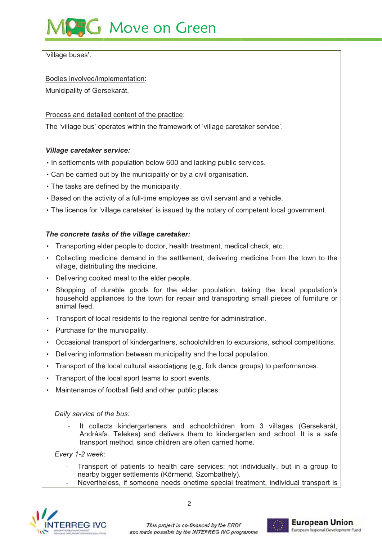# **AG** Move on Green

'village buses'.

Bodies involved/implementation:

Municipality of Gersekarát.

Process and detailed content of the practice:

The 'village bus' operates within the framework of 'village caretaker service'.

## **Village caretaker service:**

- In settlements with population below 600 and lacking public services.
- Can be carried out by the municipality or by a civil organisation.
- The tasks are defined by the municipality.
- . Based on the activity of a full-time employee as civil servant and a vehicle.
- The licence for 'village caretaker' is issued by the notary of competent local government.

## The concrete tasks of the village caretaker:

- Transporting elder people to doctor, health treatment, medical check, etc.
- Collecting medicine demand in the settlement, delivering medicine from the town to the village, distributing the medicine.
- Delivering cooked meal to the elder people.
- Shopping of durable goods for the elder population, taking the local population's household appliances to the town for repair and transporting small pieces of furniture or animal feed
- Transport of local residents to the regional centre for administration.
- Purchase for the municipality.
- Occasional transport of kindergartners, schoolchildren to excursions, school competitions.
- Delivering information between municipality and the local population.
- Transport of the local cultural associations (e.g. folk dance groups) to performances.
- Transport of the local sport teams to sport events.
- Maintenance of football field and other public places.

Daily service of the bus:

It collects kindergarteners and schoolchildren from 3 villages (Gersekarát, Andrásfa, Telekes) and delivers them to kindergarten and school. It is a safe transport method, since children are often carried home.

Every 1-2 week:

- Transport of patients to health care services: not individually, but in a group to nearby bigger settlements (Körmend, Szombathely).
- Nevertheless, if someone needs onetime special treatment, individual transport is



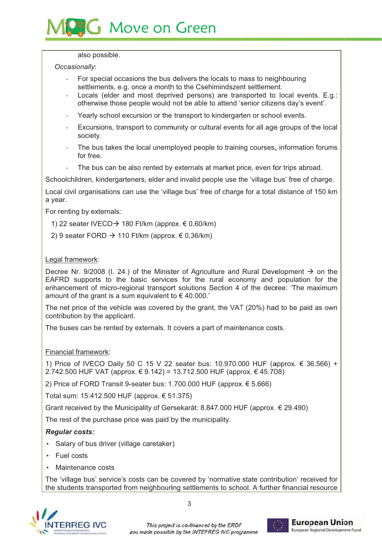## **G** Move on Green

#### also possible.

#### Occasionally:

- For special occasions the bus delivers the locals to mass to neighbouring settlements, e.g. once a month to the Csehimindszent settlement.
- Locals (elder and most deprived persons) are transported to local events. E.g.: otherwise those people would not be able to attend 'senior citizens day's event'.
- Yearly school excursion or the transport to kindergarten or school events.
- Excursions, transport to community or cultural events for all age groups of the local society.
- The bus takes the local unemployed people to training courses, information forums for free.
- The bus can be also rented by externals at market price, even for trips abroad.

Schoolchildren, kindergarteners, elder and invalid people use the 'village bus' free of charge.

Local civil organisations can use the 'village bus' free of charge for a total distance of 150 km a year.

For renting by externals:

- 1) 22 seater IVECO  $\rightarrow$  180 Ft/km (approx. € 0,60/km)
- 2) 9 seater FORD  $\rightarrow$  110 Ft/km (approx. € 0.36/km)

#### Legal framework:

Decree Nr. 9/2008 (I. 24.) of the Minister of Agriculture and Rural Development  $\rightarrow$  on the EAFRD supports to the basic services for the rural economy and population for the enhancement of micro-regional transport solutions Section 4 of the decree: 'The maximum amount of the grant is a sum equivalent to  $\epsilon$  40.000.'

The net price of the vehicle was covered by the grant, the VAT (20%) had to be paid as own contribution by the applicant.

The buses can be rented by externals. It covers a part of maintenance costs.

## Financial framework:

1) Price of IVECO Daily 50 C 15 V 22 seater bus: 10.970.000 HUF (approx. € 36.566) + 2.742.500 HUF VAT (approx. € 9.142) = 13.712.500 HUF (approx. € 45.708)

2) Price of FORD Transit 9-seater bus: 1,700,000 HUF (approx, € 5,666)

Total sum: 15.412.500 HUF (approx. € 51.375)

Grant received by the Municipality of Gersekarát: 8.847.000 HUF (approx. € 29.490)

The rest of the purchase price was paid by the municipality.

## **Regular costs:**

- Salary of bus driver (village caretaker)
- $\cdot$  Fuel costs
- Maintenance costs

The 'village bus' service's costs can be covered by 'normative state contribution' received for the students transported from neighbouring settlements to school. A further financial resource